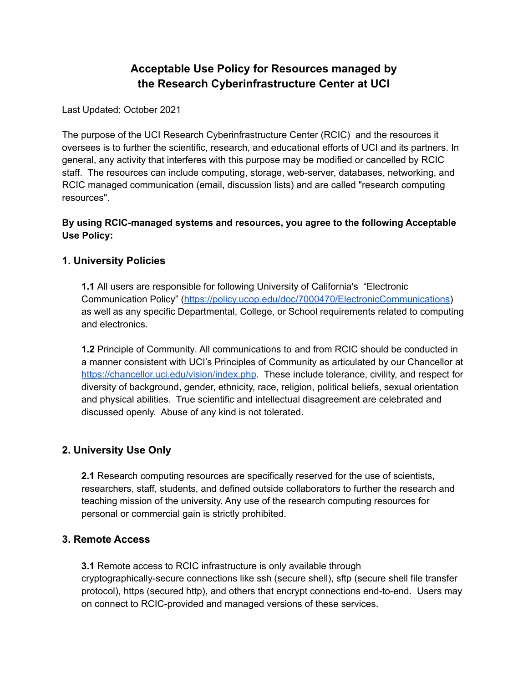# **Acceptable Use Policy for Resources managed by the Research Cyberinfrastructure Center at UCI**

Last Updated: October 2021

The purpose of the UCI Research Cyberinfrastructure Center (RCIC) and the resources it oversees is to further the scientific, research, and educational efforts of UCI and its partners. In general, any activity that interferes with this purpose may be modified or cancelled by RCIC staff. The resources can include computing, storage, web-server, databases, networking, and RCIC managed communication (email, discussion lists) and are called "research computing resources''.

#### **By using RCIC-managed systems and resources, you agree to the following Acceptable Use Policy:**

#### **1. University Policies**

**1.1** All users are responsible for following University of California's "Electronic Communication Policy" ([https://policy.ucop.edu/doc/7000470/ElectronicCommunications\)](https://policy.ucop.edu/doc/7000470/ElectronicCommunications) as well as any specific Departmental, College, or School requirements related to computing and electronics.

**1.2** Principle of Community. All communications to and from RCIC should be conducted in a manner consistent with UCI's Principles of Community as articulated by our Chancellor at <https://chancellor.uci.edu/vision/index.php>. These include tolerance, civility, and respect for diversity of background, gender, ethnicity, race, religion, political beliefs, sexual orientation and physical abilities. True scientific and intellectual disagreement are celebrated and discussed openly. Abuse of any kind is not tolerated.

#### **2. University Use Only**

**2.1** Research computing resources are specifically reserved for the use of scientists, researchers, staff, students, and defined outside collaborators to further the research and teaching mission of the university. Any use of the research computing resources for personal or commercial gain is strictly prohibited.

#### **3. Remote Access**

**3.1** Remote access to RCIC infrastructure is only available through cryptographically-secure connections like ssh (secure shell), sftp (secure shell file transfer protocol), https (secured http), and others that encrypt connections end-to-end. Users may on connect to RCIC-provided and managed versions of these services.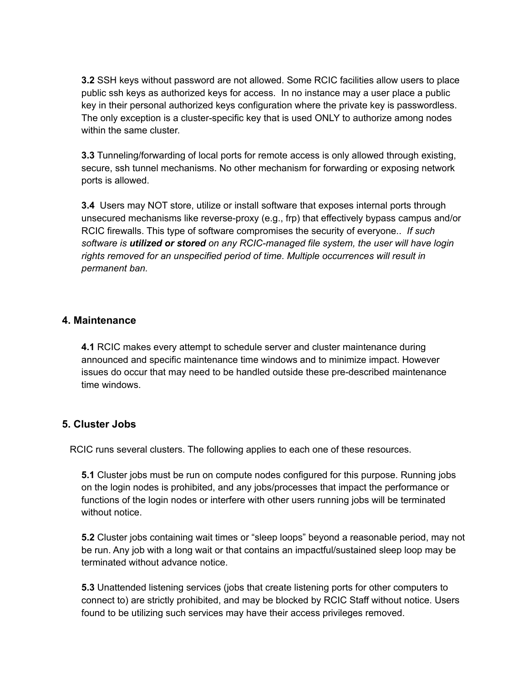**3.2** SSH keys without password are not allowed. Some RCIC facilities allow users to place public ssh keys as authorized keys for access. In no instance may a user place a public key in their personal authorized keys configuration where the private key is passwordless. The only exception is a cluster-specific key that is used ONLY to authorize among nodes within the same cluster.

**3.3** Tunneling/forwarding of local ports for remote access is only allowed through existing, secure, ssh tunnel mechanisms. No other mechanism for forwarding or exposing network ports is allowed.

**3.4** Users may NOT store, utilize or install software that exposes internal ports through unsecured mechanisms like reverse-proxy (e.g., frp) that effectively bypass campus and/or RCIC firewalls. This type of software compromises the security of everyone.. *If such software is utilized or stored on any RCIC-managed file system, the user will have login rights removed for an unspecified period of time*. *Multiple occurrences will result in permanent ban.*

#### **4. Maintenance**

**4.1** RCIC makes every attempt to schedule server and cluster maintenance during announced and specific maintenance time windows and to minimize impact. However issues do occur that may need to be handled outside these pre-described maintenance time windows.

#### **5. Cluster Jobs**

RCIC runs several clusters. The following applies to each one of these resources.

**5.1** Cluster jobs must be run on compute nodes configured for this purpose. Running jobs on the login nodes is prohibited, and any jobs/processes that impact the performance or functions of the login nodes or interfere with other users running jobs will be terminated without notice.

**5.2** Cluster jobs containing wait times or "sleep loops" beyond a reasonable period, may not be run. Any job with a long wait or that contains an impactful/sustained sleep loop may be terminated without advance notice.

**5.3** Unattended listening services (jobs that create listening ports for other computers to connect to) are strictly prohibited, and may be blocked by RCIC Staff without notice. Users found to be utilizing such services may have their access privileges removed.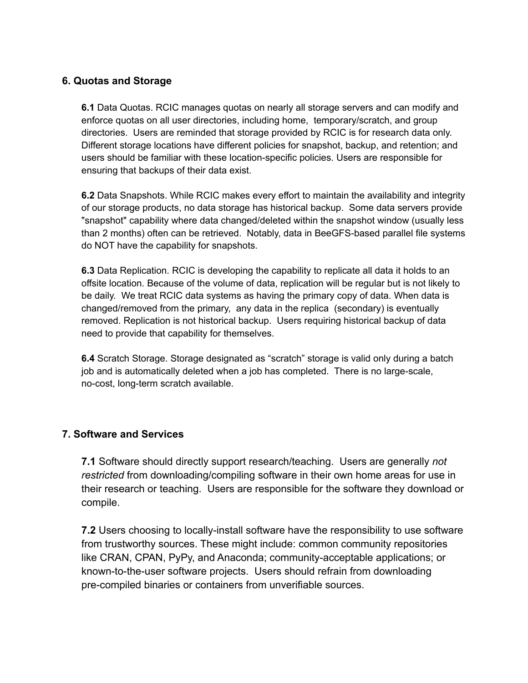#### **6. Quotas and Storage**

**6.1** Data Quotas. RCIC manages quotas on nearly all storage servers and can modify and enforce quotas on all user directories, including home, temporary/scratch, and group directories. Users are reminded that storage provided by RCIC is for research data only. Different storage locations have different policies for snapshot, backup, and retention; and users should be familiar with these location-specific policies. Users are responsible for ensuring that backups of their data exist.

**6.2** Data Snapshots. While RCIC makes every effort to maintain the availability and integrity of our storage products, no data storage has historical backup. Some data servers provide "snapshot" capability where data changed/deleted within the snapshot window (usually less than 2 months) often can be retrieved. Notably, data in BeeGFS-based parallel file systems do NOT have the capability for snapshots.

**6.3** Data Replication. RCIC is developing the capability to replicate all data it holds to an offsite location. Because of the volume of data, replication will be regular but is not likely to be daily. We treat RCIC data systems as having the primary copy of data. When data is changed/removed from the primary, any data in the replica (secondary) is eventually removed. Replication is not historical backup. Users requiring historical backup of data need to provide that capability for themselves.

**6.4** Scratch Storage. Storage designated as "scratch" storage is valid only during a batch job and is automatically deleted when a job has completed. There is no large-scale, no-cost, long-term scratch available.

#### **7. Software and Services**

**7.1** Software should directly support research/teaching. Users are generally *not restricted* from downloading/compiling software in their own home areas for use in their research or teaching. Users are responsible for the software they download or compile.

**7.2** Users choosing to locally-install software have the responsibility to use software from trustworthy sources. These might include: common community repositories like CRAN, CPAN, PyPy, and Anaconda; community-acceptable applications; or known-to-the-user software projects. Users should refrain from downloading pre-compiled binaries or containers from unverifiable sources.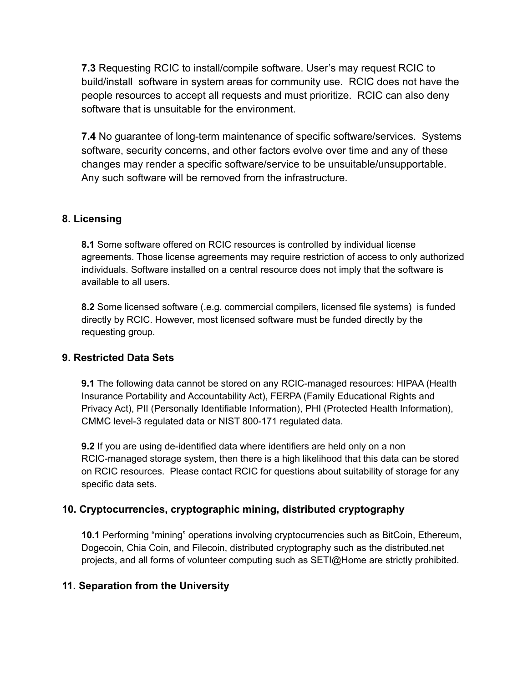**7.3** Requesting RCIC to install/compile software. User's may request RCIC to build/install software in system areas for community use. RCIC does not have the people resources to accept all requests and must prioritize. RCIC can also deny software that is unsuitable for the environment.

**7.4** No guarantee of long-term maintenance of specific software/services. Systems software, security concerns, and other factors evolve over time and any of these changes may render a specific software/service to be unsuitable/unsupportable. Any such software will be removed from the infrastructure.

### **8. Licensing**

**8.1** Some software offered on RCIC resources is controlled by individual license agreements. Those license agreements may require restriction of access to only authorized individuals. Software installed on a central resource does not imply that the software is available to all users.

**8.2** Some licensed software (.e.g. commercial compilers, licensed file systems) is funded directly by RCIC. However, most licensed software must be funded directly by the requesting group.

## **9. Restricted Data Sets**

**9.1** The following data cannot be stored on any RCIC-managed resources: HIPAA (Health Insurance Portability and Accountability Act), FERPA (Family Educational Rights and Privacy Act), PII (Personally Identifiable Information), PHI (Protected Health Information), CMMC level-3 regulated data or NIST 800-171 regulated data.

**9.2** If you are using de-identified data where identifiers are held only on a non RCIC-managed storage system, then there is a high likelihood that this data can be stored on RCIC resources. Please contact RCIC for questions about suitability of storage for any specific data sets.

### **10. Cryptocurrencies, cryptographic mining, distributed cryptography**

**10.1** Performing "mining" operations involving cryptocurrencies such as BitCoin, Ethereum, Dogecoin, Chia Coin, and Filecoin, distributed cryptography such as the distributed.net projects, and all forms of volunteer computing such as SETI@Home are strictly prohibited.

## **11. Separation from the University**